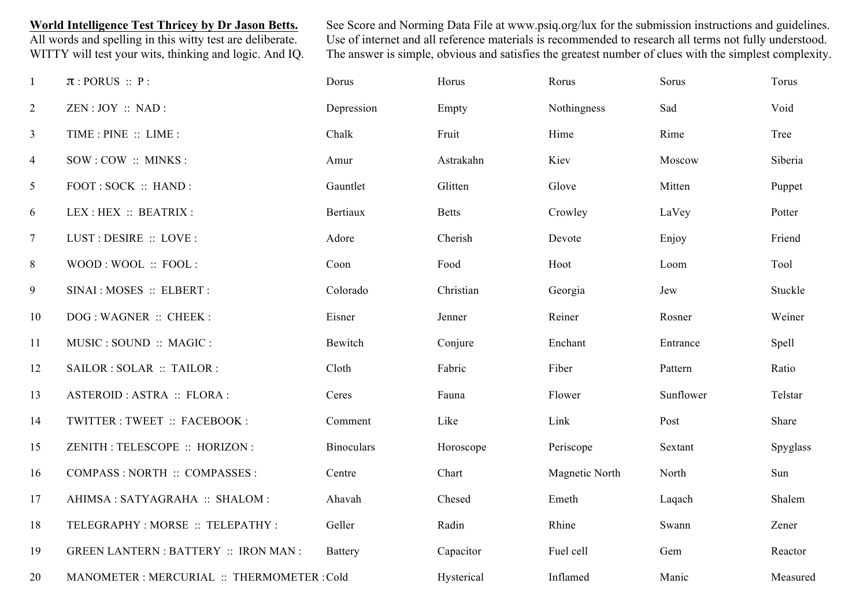**World Intelligence Test Thricey by Dr Jason Betts.** See Score and Norming Data File at www.psiq.org/lux for the submission instructions and guidelines.<br>All words and spelling in this witty test are deliberate. Use of inte Use of internet and all reference materials is recommended to research all terms not fully understood. WITTY will test your wits, thinking and logic. And IQ. The answer is simple, obvious and satisfies the greatest number of clues with the simplest complexity.

| $\mathbf{1}$    | $\pi$ : PORUS :: P:                          | Dorus             | Horus        | Rorus          | Sorus     | Torus    |
|-----------------|----------------------------------------------|-------------------|--------------|----------------|-----------|----------|
| $\overline{2}$  | ZEN: JOY :: NAD:                             | Depression        | Empty        | Nothingness    | Sad       | Void     |
| $\mathfrak{Z}$  | TIME : PINE :: LIME :                        | Chalk             | Fruit        | Hime           | Rime      | Tree     |
| $\overline{4}$  | SOW : COW :: MINKS :                         | Amur              | Astrakahn    | Kiev           | Moscow    | Siberia  |
| $5\overline{)}$ | FOOT: SOCK: HAND:                            | Gauntlet          | Glitten      | Glove          | Mitten    | Puppet   |
| 6               | LEX : HEX :: BEATRIX :                       | <b>Bertiaux</b>   | <b>Betts</b> | Crowley        | LaVey     | Potter   |
| $\tau$          | LUST: DESIRE :: LOVE :                       | Adore             | Cherish      | Devote         | Enjoy     | Friend   |
| 8               | WOOD: WOOL: FOOL:                            | Coon              | Food         | Hoot           | Loom      | Tool     |
| 9               | SINAI : MOSES :: ELBERT :                    | Colorado          | Christian    | Georgia        | Jew       | Stuckle  |
| 10              | DOG: WAGNER :: CHEEK :                       | Eisner            | Jenner       | Reiner         | Rosner    | Weiner   |
| 11              | MUSIC : SOUND :: MAGIC :                     | Bewitch           | Conjure      | Enchant        | Entrance  | Spell    |
| 12              | SAILOR : SOLAR :: TAILOR :                   | Cloth             | Fabric       | Fiber          | Pattern   | Ratio    |
| 13              | ASTEROID : ASTRA :: FLORA :                  | Ceres             | Fauna        | Flower         | Sunflower | Telstar  |
| 14              | TWITTER : TWEET :: FACEBOOK :                | Comment           | Like         | Link           | Post      | Share    |
| 15              | ZENITH : TELESCOPE :: HORIZON :              | <b>Binoculars</b> | Horoscope    | Periscope      | Sextant   | Spyglass |
| 16              | COMPASS : NORTH :: COMPASSES :               | Centre            | Chart        | Magnetic North | North     | Sun      |
| 17              | AHIMSA: SATYAGRAHA :: SHALOM :               | Ahavah            | Chesed       | Emeth          | Laqach    | Shalem   |
| 18              | TELEGRAPHY : MORSE :: TELEPATHY :            | Geller            | Radin        | Rhine          | Swann     | Zener    |
| 19              | <b>GREEN LANTERN : BATTERY :: IRON MAN :</b> | <b>Battery</b>    | Capacitor    | Fuel cell      | Gem       | Reactor  |
| 20              | MANOMETER : MERCURIAL :: THERMOMETER : Cold  |                   | Hysterical   | Inflamed       | Manic     | Measured |